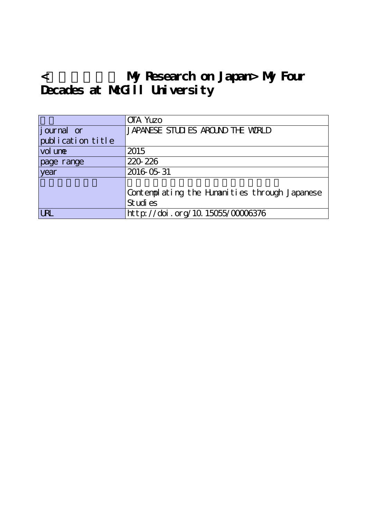## **<私の日本研究 My Research on Japan> My Four Decades at McGill University**

|                    | <b>OTA Yuzo</b>                                            |
|--------------------|------------------------------------------------------------|
| <i>j</i> ournal or | JAPANESE STUDIES AROUND THE WORLD                          |
| publication title  |                                                            |
| vol une            | 2015                                                       |
| page range         | 220 226                                                    |
| year               | 2016 05 31                                                 |
|                    | Contemplating the Himanities through Japanese<br>St udi es |
| <b>LRL</b>         | http://doi.org/10.15055/00006376                           |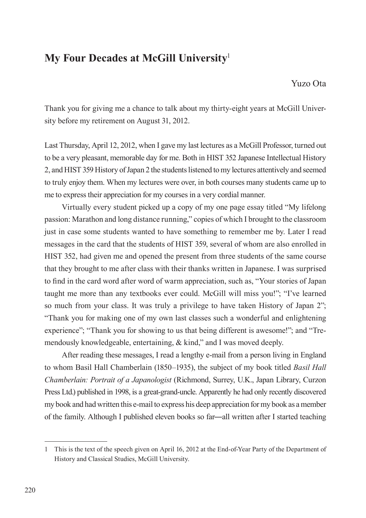## **My Four Decades at McGill University**<sup>1</sup>

Yuzo Ota

Thank you for giving me a chance to talk about my thirty-eight years at McGill University before my retirement on August 31, 2012.

Last Thursday, April 12, 2012, when I gave my last lectures as a McGill Professor, turned out to be a very pleasant, memorable day for me. Both in HIST 352 Japanese Intellectual History 2, and HIST 359 History of Japan 2 the students listened to my lectures attentively and seemed to truly enjoy them. When my lectures were over, in both courses many students came up to me to express their appreciation for my courses in a very cordial manner.

Virtually every student picked up a copy of my one page essay titled "My lifelong passion: Marathon and long distance running," copies of which I brought to the classroom just in case some students wanted to have something to remember me by. Later I read messages in the card that the students of HIST 359, several of whom are also enrolled in HIST 352, had given me and opened the present from three students of the same course that they brought to me after class with their thanks written in Japanese. I was surprised to find in the card word after word of warm appreciation, such as, "Your stories of Japan taught me more than any textbooks ever could. McGill will miss you!"; "I've learned so much from your class. It was truly a privilege to have taken History of Japan 2"; "Thank you for making one of my own last classes such a wonderful and enlightening experience"; "Thank you for showing to us that being different is awesome!"; and "Tremendously knowledgeable, entertaining, & kind," and I was moved deeply.

After reading these messages, I read a lengthy e-mail from a person living in England to whom Basil Hall Chamberlain (1850–1935), the subject of my book titled *Basil Hall Chamberlain: Portrait of a Japanologist* (Richmond, Surrey, U.K., Japan Library, Curzon Press Ltd.) published in 1998, is a great-grand-uncle. Apparently he had only recently discovered my book and had written this e-mail to express his deep appreciation for my book as a member of the family. Although I published eleven books so far―all written after I started teaching

<sup>1</sup> This is the text of the speech given on April 16, 2012 at the End-of-Year Party of the Department of History and Classical Studies, McGill University.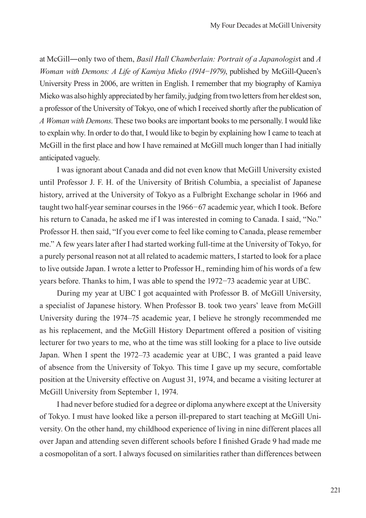at McGill―only two of them, *Basil Hall Chamberlain: Portrait of a Japanologis*t and *A Woman with Demons: A Life of Kamiya Mieko (1914−1979)*, published by McGill-Queen's University Press in 2006, are written in English. I remember that my biography of Kamiya Mieko was also highly appreciated by her family, judging from two letters from her eldest son, a professor of the University of Tokyo, one of which I received shortly after the publication of *A Woman with Demons*. These two books are important books to me personally. I would like to explain why. In order to do that, I would like to begin by explaining how I came to teach at McGill in the first place and how I have remained at McGill much longer than I had initially anticipated vaguely.

I was ignorant about Canada and did not even know that McGill University existed until Professor J. F. H. of the University of British Columbia, a specialist of Japanese history, arrived at the University of Tokyo as a Fulbright Exchange scholar in 1966 and taught two half-year seminar courses in the 1966*−*67 academic year, which I took. Before his return to Canada, he asked me if I was interested in coming to Canada. I said, "No." Professor H. then said, "If you ever come to feel like coming to Canada, please remember me." A few years later after I had started working full-time at the University of Tokyo, for a purely personal reason not at all related to academic matters, I started to look for a place to live outside Japan. I wrote a letter to Professor H., reminding him of his words of a few years before. Thanks to him, I was able to spend the 1972*−*73 academic year at UBC.

During my year at UBC I got acquainted with Professor B. of McGill University, a specialist of Japanese history. When Professor B. took two years' leave from McGill University during the 1974–75 academic year, I believe he strongly recommended me as his replacement, and the McGill History Department offered a position of visiting lecturer for two years to me, who at the time was still looking for a place to live outside Japan. When I spent the 1972–73 academic year at UBC, I was granted a paid leave of absence from the University of Tokyo. This time I gave up my secure, comfortable position at the University effective on August 31, 1974, and became a visiting lecturer at McGill University from September 1, 1974.

I had never before studied for a degree or diploma anywhere except at the University of Tokyo. I must have looked like a person ill-prepared to start teaching at McGill University. On the other hand, my childhood experience of living in nine different places all over Japan and attending seven different schools before I finished Grade 9 had made me a cosmopolitan of a sort. I always focused on similarities rather than differences between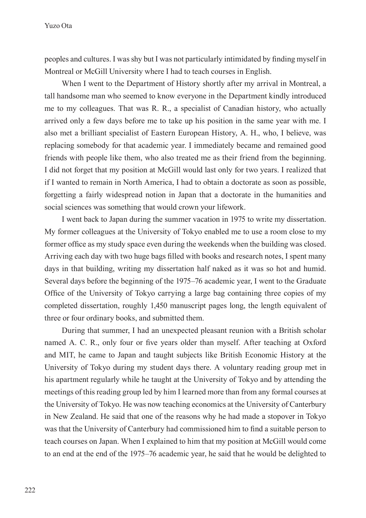peoples and cultures. I was shy but I was not particularly intimidated by finding myself in Montreal or McGill University where I had to teach courses in English.

When I went to the Department of History shortly after my arrival in Montreal, a tall handsome man who seemed to know everyone in the Department kindly introduced me to my colleagues. That was R. R., a specialist of Canadian history, who actually arrived only a few days before me to take up his position in the same year with me. I also met a brilliant specialist of Eastern European History, A. H., who, I believe, was replacing somebody for that academic year. I immediately became and remained good friends with people like them, who also treated me as their friend from the beginning. I did not forget that my position at McGill would last only for two years. I realized that if I wanted to remain in North America, I had to obtain a doctorate as soon as possible, forgetting a fairly widespread notion in Japan that a doctorate in the humanities and social sciences was something that would crown your lifework.

I went back to Japan during the summer vacation in 1975 to write my dissertation. My former colleagues at the University of Tokyo enabled me to use a room close to my former office as my study space even during the weekends when the building was closed. Arriving each day with two huge bags filled with books and research notes, I spent many days in that building, writing my dissertation half naked as it was so hot and humid. Several days before the beginning of the 1975–76 academic year, I went to the Graduate Office of the University of Tokyo carrying a large bag containing three copies of my completed dissertation, roughly 1,450 manuscript pages long, the length equivalent of three or four ordinary books, and submitted them.

During that summer, I had an unexpected pleasant reunion with a British scholar named A. C. R., only four or five years older than myself. After teaching at Oxford and MIT, he came to Japan and taught subjects like British Economic History at the University of Tokyo during my student days there. A voluntary reading group met in his apartment regularly while he taught at the University of Tokyo and by attending the meetings of this reading group led by him I learned more than from any formal courses at the University of Tokyo. He was now teaching economics at the University of Canterbury in New Zealand. He said that one of the reasons why he had made a stopover in Tokyo was that the University of Canterbury had commissioned him to find a suitable person to teach courses on Japan. When I explained to him that my position at McGill would come to an end at the end of the 1975–76 academic year, he said that he would be delighted to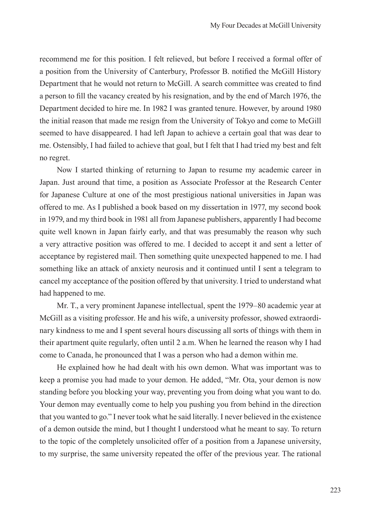recommend me for this position. I felt relieved, but before I received a formal offer of a position from the University of Canterbury, Professor B. notified the McGill History Department that he would not return to McGill. A search committee was created to find a person to fill the vacancy created by his resignation, and by the end of March 1976, the Department decided to hire me. In 1982 I was granted tenure. However, by around 1980 the initial reason that made me resign from the University of Tokyo and come to McGill seemed to have disappeared. I had left Japan to achieve a certain goal that was dear to me. Ostensibly, I had failed to achieve that goal, but I felt that I had tried my best and felt no regret.

Now I started thinking of returning to Japan to resume my academic career in Japan. Just around that time, a position as Associate Professor at the Research Center for Japanese Culture at one of the most prestigious national universities in Japan was offered to me. As I published a book based on my dissertation in 1977, my second book in 1979, and my third book in 1981 all from Japanese publishers, apparently I had become quite well known in Japan fairly early, and that was presumably the reason why such a very attractive position was offered to me. I decided to accept it and sent a letter of acceptance by registered mail. Then something quite unexpected happened to me. I had something like an attack of anxiety neurosis and it continued until I sent a telegram to cancel my acceptance of the position offered by that university. I tried to understand what had happened to me.

Mr. T., a very prominent Japanese intellectual, spent the 1979–80 academic year at McGill as a visiting professor. He and his wife, a university professor, showed extraordinary kindness to me and I spent several hours discussing all sorts of things with them in their apartment quite regularly, often until 2 a.m. When he learned the reason why I had come to Canada, he pronounced that I was a person who had a demon within me.

He explained how he had dealt with his own demon. What was important was to keep a promise you had made to your demon. He added, "Mr. Ota, your demon is now standing before you blocking your way, preventing you from doing what you want to do. Your demon may eventually come to help you pushing you from behind in the direction that you wanted to go." I never took what he said literally. I never believed in the existence of a demon outside the mind, but I thought I understood what he meant to say. To return to the topic of the completely unsolicited offer of a position from a Japanese university, to my surprise, the same university repeated the offer of the previous year. The rational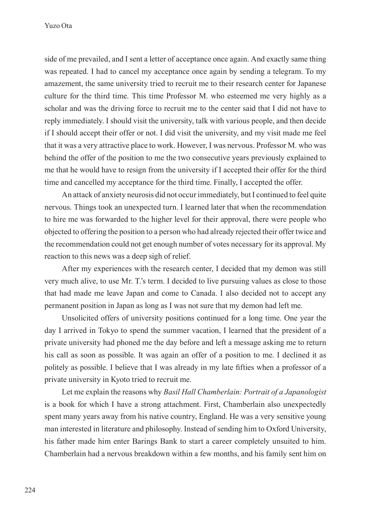Yuzo Ota

side of me prevailed, and I sent a letter of acceptance once again. And exactly same thing was repeated. I had to cancel my acceptance once again by sending a telegram. To my amazement, the same university tried to recruit me to their research center for Japanese culture for the third time. This time Professor M. who esteemed me very highly as a scholar and was the driving force to recruit me to the center said that I did not have to reply immediately. I should visit the university, talk with various people, and then decide if I should accept their offer or not. I did visit the university, and my visit made me feel that it was a very attractive place to work. However, I was nervous. Professor M. who was behind the offer of the position to me the two consecutive years previously explained to me that he would have to resign from the university if I accepted their offer for the third time and cancelled my acceptance for the third time. Finally, I accepted the offer.

An attack of anxiety neurosis did not occur immediately, but I continued to feel quite nervous. Things took an unexpected turn. I learned later that when the recommendation to hire me was forwarded to the higher level for their approval, there were people who objected to offering the position to a person who had already rejected their offer twice and the recommendation could not get enough number of votes necessary for its approval. My reaction to this news was a deep sigh of relief.

After my experiences with the research center, I decided that my demon was still very much alive, to use Mr. T.'s term. I decided to live pursuing values as close to those that had made me leave Japan and come to Canada. I also decided not to accept any permanent position in Japan as long as I was not sure that my demon had left me.

Unsolicited offers of university positions continued for a long time. One year the day I arrived in Tokyo to spend the summer vacation, I learned that the president of a private university had phoned me the day before and left a message asking me to return his call as soon as possible. It was again an offer of a position to me. I declined it as politely as possible. I believe that I was already in my late fifties when a professor of a private university in Kyoto tried to recruit me.

Let me explain the reasons why *Basil Hall Chamberlain: Portrait of a Japanologist* is a book for which I have a strong attachment. First, Chamberlain also unexpectedly spent many years away from his native country, England. He was a very sensitive young man interested in literature and philosophy. Instead of sending him to Oxford University, his father made him enter Barings Bank to start a career completely unsuited to him. Chamberlain had a nervous breakdown within a few months, and his family sent him on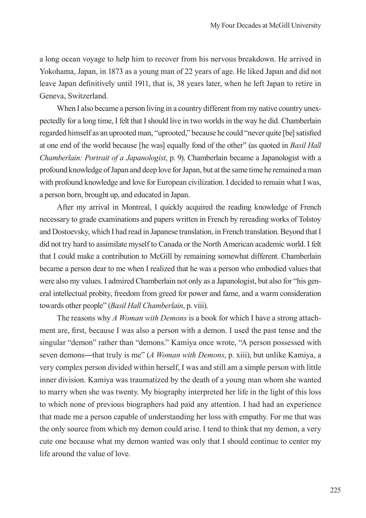a long ocean voyage to help him to recover from his nervous breakdown. He arrived in Yokohama, Japan, in 1873 as a young man of 22 years of age. He liked Japan and did not leave Japan definitively until 1911, that is, 38 years later, when he left Japan to retire in Geneva, Switzerland.

When I also became a person living in a country different from my native country unexpectedly for a long time, I felt that I should live in two worlds in the way he did. Chamberlain regarded himself as an uprooted man, "uprooted," because he could "never quite [be] satisfied at one end of the world because [he was] equally fond of the other" (as quoted in *Basil Hall Chamberlain: Portrait of a Japanologist*, p. 9). Chamberlain became a Japanologist with a profound knowledge of Japan and deep love for Japan, but at the same time he remained a man with profound knowledge and love for European civilization. I decided to remain what I was, a person born, brought up, and educated in Japan.

After my arrival in Montreal, I quickly acquired the reading knowledge of French necessary to grade examinations and papers written in French by rereading works of Tolstoy and Dostoevsky, which I had read in Japanese translation, in French translation. Beyond that I did not try hard to assimilate myself to Canada or the North American academic world. I felt that I could make a contribution to McGill by remaining somewhat different. Chamberlain became a person dear to me when I realized that he was a person who embodied values that were also my values. I admired Chamberlain not only as a Japanologist, but also for "his general intellectual probity, freedom from greed for power and fame, and a warm consideration towards other people" (*Basil Hall Chamberlain*, p. viii).

The reasons why *A Woman with Demons* is a book for which I have a strong attachment are, first, because I was also a person with a demon. I used the past tense and the singular "demon" rather than "demons." Kamiya once wrote, "A person possessed with seven demons—that truly is me" (*A Woman with Demons*, p. xiii), but unlike Kamiya, a very complex person divided within herself, I was and still am a simple person with little inner division. Kamiya was traumatized by the death of a young man whom she wanted to marry when she was twenty. My biography interpreted her life in the light of this loss to which none of previous biographers had paid any attention. I had had an experience that made me a person capable of understanding her loss with empathy. For me that was the only source from which my demon could arise. I tend to think that my demon, a very cute one because what my demon wanted was only that I should continue to center my life around the value of love.